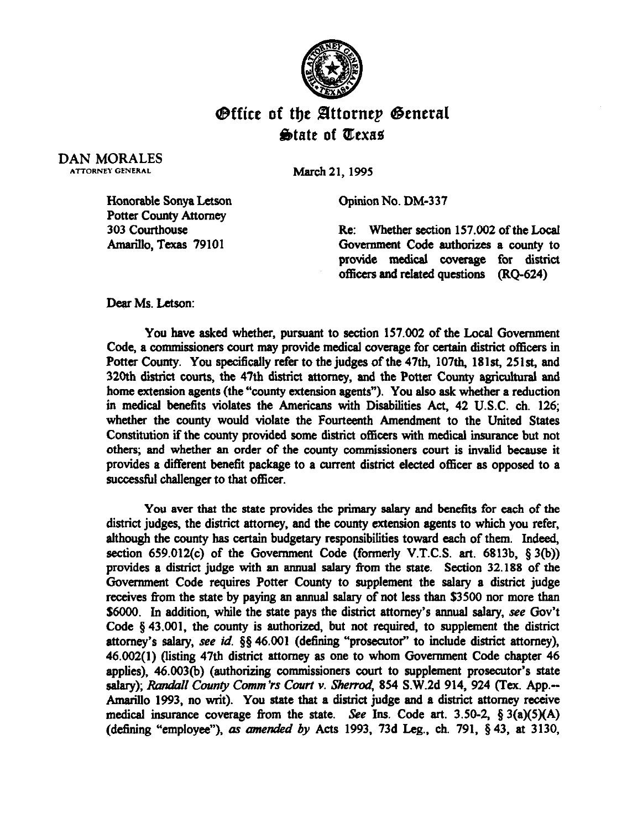

## **Office of the Attornep General**  $\bigcirc$ tate of Texas

DAN MORALES ATTORNEY GENERAL

**March 21,199s** 

Opinion No. DM-337

Re: Whether section 157.002 of the Local Government Code authorizes a county to provide medical coverage for district officers and related questions (RQ-624)

**Amarillo, Texas** 79101

Honorable Sonya Letson Potter County Attorney

Dear Ms. Letson:

*303 courthouse* 

You have asked whether, pursuant to section 157.002 of the Local Government Code, a commissioners court may provide medical coverage for certain district officers in Potter County. You specifically refer to the judges of the 47th, 107th, 181st, 251st, and 320th district courts, the 47th district attorney, and the Potter County agricultural and home extension agents (the "county extension agents"). You also ask whether a reduction in medical benefits violates the Americans with Disabilities Act, 42 U.S.C. ch. 126; whether the county would violate the Fourteenth Amendment to the United States Constitution if the county provided some district officers with medical insurance but not others; and whether sn order of the county commissioners court is invalid because it provides a different benefit package to a current district elected officer as opposed to a successtill challenger to that officer.

You aver that the state provides the primary salary and benefits for each of the district judges, the district attorney, and the county extension agents to which you refer, although the county has certain budgetary responsibilities toward each of them. Indeed, section 659.012(c) of the Government Code (formerly V.T.C.S. art. 6813b,  $\S 3(b)$ ) provides a district judge with an annual salary from the state. Section 32.188 of the Government Code requires Potter County to supplement the salary a district judge receives from the state by paying an annual salary of not less than \$3500 nor more than \$6000. In addition, while the state pays the district attorney's annual salary, see Gov't Code  $\S$  43.001, the county is authorized, but not required, to supplement the district attorney's salary, see *id.* 85 46.001 (defining "prosecutor" to include district attorney), 46.002(l) (listing 47th district attorney as one to whom Government Code chapter 46 applies), 46.003(b) (authorizing commissioners court to supplement prosecutor's state salary); Randall County Comm'rs Court v. Sherrod, 854 S.W.2d 914, 924 (Tex. App.--Amarillo 1993, no writ). You state that a district judge and a district attorney receive medical insurance coverage from the state. See Ins. Code art. 3.50-2,  $\S 3(a)(5)(A)$ (detining "employee"), ar *amended by Acts* 1993, 73d Leg., ch. 791, 5 43, at 3130,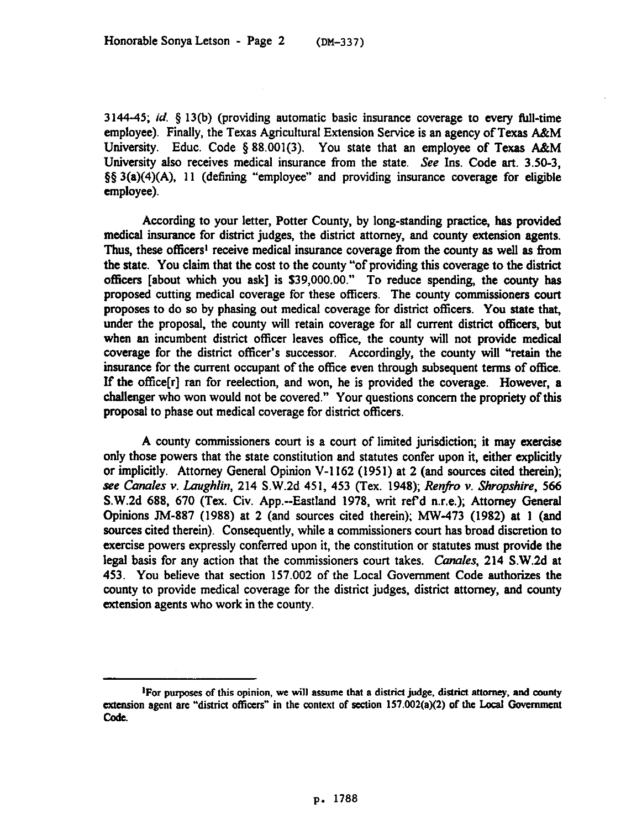3144-45;  $id.$  § 13(b) (providing automatic basic insurance coverage to every full-time employee). Finally, the Texas Agricultural Extension Service is an agency of Texas A&M University. Educ. Code § 88.001(3). You state that an employee of Texas A&M University also receives medical insurance from the state. See Ins. Code art. 3.50-3, \$5 3(a)(4)(A), 11 (defining "employee" and providing insurance coverage for eligible employee).

According to your letter, Potter County, by long-standing practice, has provided medical insurance for district judges, the district attorney, and county extension agents. Thus, these officers<sup>1</sup> receive medical insurance coverage from the county as well as from the state. You claim that the cost to the county "of providing this coverage to the district officers [about which you ask] is \$39,000.00." To reduce spending, the county has proposed cutting medical coverage for these officers. The county commissioners court proposes to do so by phasing out medical coverage for district officers. You state that, under the proposal, the county will retain coverage for all current district officers, but when an incumbent district officer leaves office, the county will not provide medical coverage for the district officer's successor. Accordingly, the county will "retain the insurance for the current occupant of the office even through subsequent terms of office. If the ofice[r] ran for reelection, and won, he is provided the coverage. However, a challenger who won would not be covered." Your questions concern the propriety of this proposal to phase out medical coverage for district officers.

A county commissioners court is a court of limited jurisdiction; it may exercise only those powers that the state constitution and statutes confer upon it, either explicitly or implicitly. Attorney General Opinion V-l 162 (1951) at 2 (and sources cited therein); *see Canales v. Laughlin,* 214 S.W.Zd 451, 453 *(Tex.* 1948); *Renfo v. Shropshire, 566*  S.W.2d 688, 670 (Tex. Civ. App.--Eastland 1978, writ refd n.r.e.); Attorney General Opinions JM-887 (1988) at 2 (and sources cited therein); MW-473 (1982) at 1 (and sources cited therein). Consequently, while a commissioners court has broad discretion to exercise powers expressly conferred upon it, the constitution or statutes must provide the legal basis for any action that the commissioners court takes. Canales, 214 S.W.2d at 453. You believe that section 157.002 of the Local Government Code authorizes the county to provide medical coverage for the district judges, district attorney, and county extension agents who work in the county.

<sup>&</sup>lt;sup>1</sup>For purposes of this opinion, we will assume that a district judge, district attorney, and county extension agent are "district officers" in the context of section  $157.002(a)(2)$  of the Local Government code.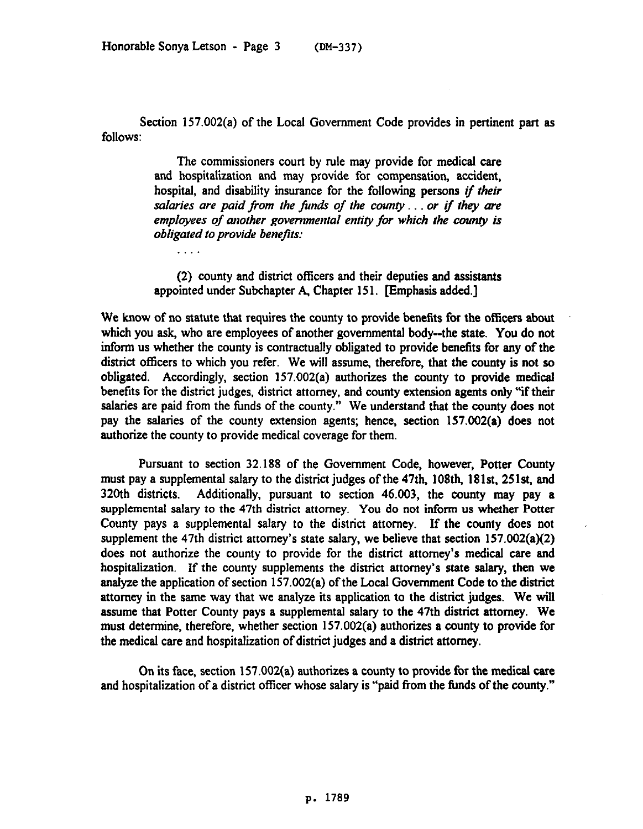Section 157.002(a) of the Local Government Code provides in pertinent part as follows:

> The commissioners court by rule may provide for medical care and hospitalization and may provide for compensation, accident, hospital, and disability insurance for the following persons if *their*  salaries are paid from the funds of the county . . . or if they are *employees of another governmental entity for which the county is obligated to provide benefits:*

> (2) county and district officers and their deputies and assistants appointed under Subchapter A, Chapter 151. [Emphasis added.]

We know of no statute that requires the county to provide benefits for the officers about which you ask, who are employees of another governmental body-the state. You do not inform us whether the county is contractually obligated to provide benefits for any of the district officers to which you refer. We will assume, therefore, that the county is not so obligated. Accordingly, section 157.002(a) authorizes the county to provide medical benefits for the district judges, district attorney, and county extension agents only "if their salaries are paid from the funds of the county." We understand that the county does not pay the salaries of the county extension agents; hence, section 157.002(a) does not authorize the county to provide medical coverage for them.

Pursuant to section 32.188 of the Government Code, however, Potter County must pay a supplemental salary to the district judges of the 47th, 108th, 181st, 251st, and 320th districts. Additionally, pursuant to section 46.003, the county may pay a supplemental salary to the 47th district attorney. You do not inform us whether Potter County pays a supplemental salary to the district attorney. If the **county** does not supplement the 47th district attorney's state salary, we believe that section 157.002(a)(2) does not authorize the county to provide for the district attorney's medical care and hospitalization. If the county supplements the district attorney's state salary, then we analyze the application of section 157.002(a) of the Local Government Code to the district attorney in the same way that we analyze its application to the district judges. We will assume that Potter County pays a supplemental salary to the 47th district attorney. We must determine, therefore, whether section 157.002(a) authorizes a county to provide for the medical care and hospitalization of district judges and a district attorney.

On its face, section 157.002(a) authorizes a county to provide for the medical care and hospitalization of a district officer whose salary is "paid from the funds of the county."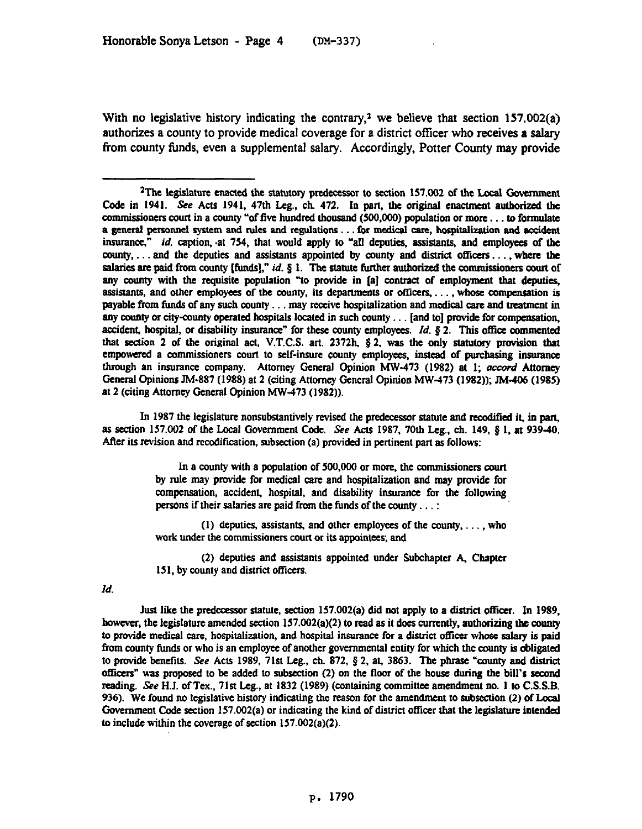With no legislative history indicating the contrary,<sup>2</sup> we believe that section  $157.002(a)$ authorizes a county to provide medical coverage for a district officer who receives a salary from county fitnds, even a supplemental salary. Accordingly, Potter County may provide

In 1987 the legislature nonsubstantively revised the predecessor statute and recodified it, in part, as section 157.002 of the Local Government Code. See Acts 1987, 70th Leg., ch. 149,  $\S 1$ , at 939-40. After its revision and recodification, subsection (a) provided in pertinent part as follows:

> In a county with a population of 500,000 or more, the commissioners court by rule may provide for medical care and hospitalization and may provide for compensation, accident, hospital, and disability insumnce for the following persons if their salaries are paid from the funds of the county...:

> (1) deputies, assistants, and other employees of the county,  $\dots$ , who work under the commissioners court or its appointees; and

> (2) deputies and assistants appointed under Subchapter A, Chapter 151, by county and district officers.

*Id.* 

Just like the predecessor statute, section  $157.002(a)$  did not apply to a district officer. In 1989, however, the legislature amended section  $157.002(a)(2)$  to read as it does currently, authorizing the county to provide medical care, hospitalization, and hospital insurance for a district officer whose salary is paid from county funds or who is an employee of another governmental entity for which the county is obligated to provide benefits. See Acts 1989, 71st Leg., ch. 872,  $\S$  2, at, 3863. The phrase "county and district officers" was proposed to be added to subsection (2) on the floor of the house during the bill's second reading. See H.J. of Tex., 71st Leg., at 1832 (1989) (containing committee amendment no. 1 to C.S.S.B. 936). We found no legislative history indicating the reason for the amendment to subsection (2) of Local Government Code section 157.002(a) or indicating the kind of district otlicer tbat the legislature intended to include within the coverage of section 157.002(a)(2).

<sup>&</sup>lt;sup>2</sup>The legislature enacted the statutory predecessor to section 157.002 of the Local Government Code in 1941. See Acts 1941, 47th Leg., ch. 472. In part, the original enactment authorized the commissioners court in a county "of five hundred thousand (500,000) population or more . . . to formulate a general personnel system and rules and regulations . . . for medical care, hospitalization and accident *inauranee," id.* caption, \*at 754, that would apply to "all deputies, assistants, and employees of the county,. . and the deputies and assistants appointed by county and district offtcers.. , where the salaries are paid from county [funds]," *id.*  $\S$  1. The statute further authorized the commissioners court of any county with the requisite population "to provide in [a] contract of employment that deputies, assistants, and other employees of the county, its departments or officers,  $\dots$ , whose compensation is payable from funds of any such county... may receive hospitalization and medical care and treatment in any county or city-county operated hospitals located in such county... [and to] provide for compensation, accident, hospital, or disability insurance" for these county employees. *Id.* § 2. This office commented that *section 2* of the original act, V.T.C.S. art. 2372b. \$2. was the only statutoty provision that empowered a commissioners court to setf-insure county employees, instead of pmchasing insmance through an insurance company. Attorney General Opinion MW-473 (1982) at 1; *accord* Attorney General Opinions JM-887 (1988) at 2 (citing Attorney General Opinion MW-473 (1982)); JM.406 (1985) at 2 (citing Attomcy General Opinion MW-473 (1982)).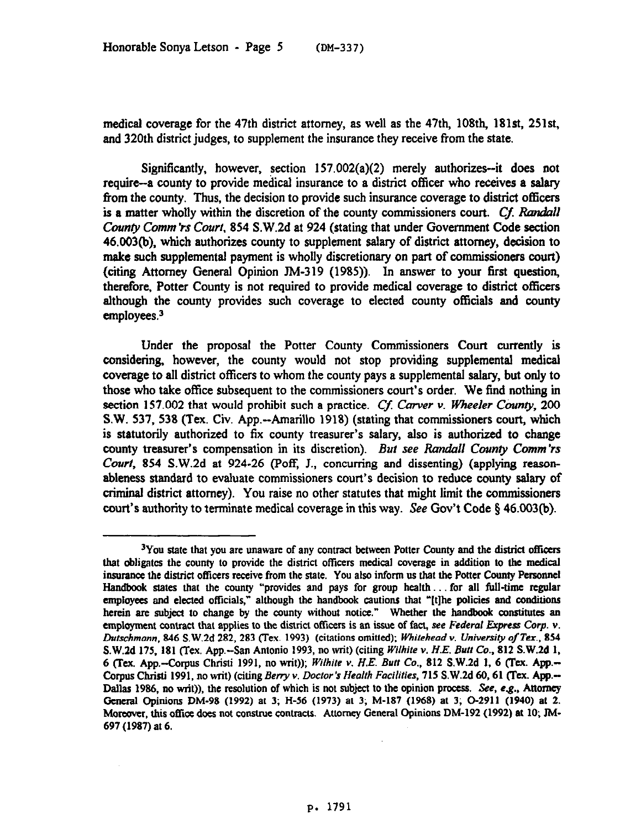medical coverage for the 47th district attorney, as well as the 47th, 108th, 181st, 251st. and 320th district judges, to supplement the insurance they receive from the state.

Significantly, however, section  $157.002(a)(2)$  merely authorizes--it does not require-a county to provide medical insurance to a district officer who receives a salary from the county. Thus, the decision to provide such insurance coverage to district officers is a matter wholly within the discretion of the county commissioners court. Cf. Randall *County Comm 'rs Court, 854 S.W.2d at 924 (stating that under Government Code section* 46.003(b), which authorizes county to supplement salary of district attorney, decision to make such supplemental payment is wholly discretionary on part of commissioners court) (citing Attorney General Opinion TM-319 (1985)). In answer to your first question, therefore, Potter County is not required to provide medical coverage to district officers although the county provides such coverage to elected county officials and county employees.3

Under the proposal the Potter County Commissioners Court currently is considering, however, the county would not stop providing supplemental medical coverage to all district officers to whom the county pays a supplemental salary, but only to those who take office subsequent to the commissioners court's order. We find nothing in section 157.002 that would prohibit such a practice. Cf. Carver v. Wheeler County,  $200$ S.W. 537, 538 (Tex. Civ. App.--Amarillo 1918) (stating that commissioners court, which is statutorily authorized to fix county treasurer's salary, also is authorized to change county treasurer's compensation in its discretion). But see Randall *County Comm'rs Court,* 854 S.W.2d at 924-26 (Poff, J., concurring and dissenting) (applying reasonableness standard to evaluate commissioners court's decision to reduce county salary of criminal district attorney). You raise no other statutes that might limit the commissioners court's authority to terminate medical coverage in this way. See Gov't Code § 46.003(b).

<sup>&</sup>lt;sup>3</sup>You state that you are unaware of any contract between Potter County and the district officers that obligates the county to provide the district ofticers medical coverage in *addition* to the medical insurance the district ofticcrs receive from the state. You also inform us that the Potter County Personnel Handbook states that the county "provides and pays for group health... for all full-time regular employees and elected officials," although the handbook cautions that "[t]he policies and conditions herein are subject to change by the county without notice." Whether the handbook constitutes an employment contract that applies to the district officers is an issue of fact, see Federal Express Corp. v. *Dutschmonn, 846* S.W.Zd 282, 283 flex. 1993) (citations omitted); *Whitehead v. University of Tex., 854*  S.W.2d 175, 181 (Tex. App.--San Antonio 1993, no writ) (citing *Wilhite v. H.E. Butt Co.*, 812 S.W.2d 1, 6 (Tex. App.-&pus Christi 1991, *no* writ)); *White v. H.E. Butt Co.,* 812 S.W.Zd 1, 6 (Tax. App.- *Corpus Chriti* 1991, *no* tit) *(citing Beny Y. Lbctor's Health Facilities,* 715 S.W.Zd 60,61 (Tea. App.- Dallas 1986, no writ)), the resolution of which is not subject to the opinion process. See, e.g., Attorney General Opinions DM-98 (1992) at 3; H-56 (1973) at 3; M-187 (1968) at 3; O-2911 (1940) at 2. Moreover, this office does not construe contracts. Attorney General Opinions DM-192 (1992) at 10, JM-697 (1987) at 6.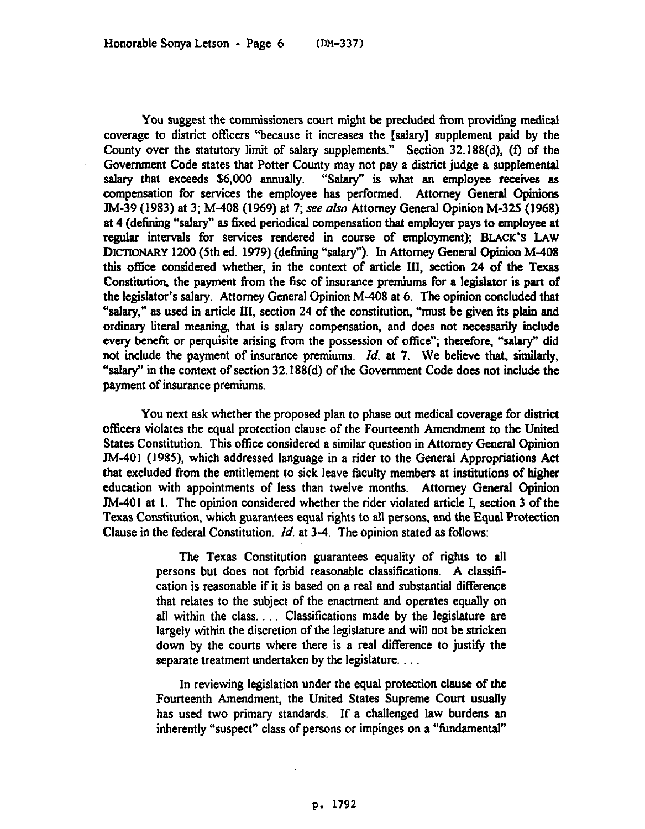You suggest the commissioners court might be precluded from providing medical coverage to district offtcers "because it increases the [salary] supplement paid by the County over the statutory limit of salary supplements." Section 32.188(d), (f) of the Government Code states that Potter County may not pay a district judge a supplemental salary that exceeds \$6,000 annually. "Salary" is what an employee receives as compensation for services the employee has performed. Attorney General Opinions TM-39 (1983) at 3; M-408 (1969) at 7; see aIs0 Attorney General Opinion *M-325 (1968)*  at 4 (defining "salary" as fixed periodical compensation that employer pays to employee at regular intervals for services rendered in course of employment); **BLACK'S LAW**  DICTIONARY 1200 (5th ed. 1979) (defining "salary"). In Attorney General Opinion M-408 this office considered whether, in the context of article III, section 24 of the Texas Constitution, the payment from the fisc of insurance premiums for a legislator is part of the legislator's salary. Attorney General Opinion M-408 at 6. The opinion concluded that "salary," as used in article III, section 24 of the constitution, "must be given its plain and ordinary literal meaning, that is salary compensation, and does not necessarily include every benefit or perquisite arising from the possession of office"; therefore, "salary" did not include the payment of insurance premiums. *Id.* at 7. We believe that, similarly, "salary" in the context of section 32.188(d) of the Government Code does not include the payment of insurance premiums.

You next ask whether the proposed plan to phase out medical coverage for district officers violates the equal protection clause of the Fourteenth Amendment to the United States Constitution. This office considered a similar question in Attorney General Opinion N-401 (1985), which addressed language in a rider to the General Appropriations Act that excluded from the entitlement to sick leave faculty members at institutions of higher education with appointments of less than twelve months. Attorney General Opinion JM-401 at I. The opinion considered whether the rider violated article I, section 3 of the Texas Constitution, which guarantees equal rights to all persons, and the Equal Protection Clause in the federal Constitution, *Id.* at 3-4. The opinion stated as follows:

> The Texas Constitution guarantees equality of rights to all persons but does not forbid reasonable classifications. **A** classification is reasonable if it is based on a real and substantial difference that relates to the subject of the enactment and operates equally on all within the class. ... Classifications made by the legislature are largely within the discretion of the legislature and will not be stricken down by the courts where there is a real difference to justify the separate treatment undertaken by the legislature. . . .

> In reviewing legislation under the equal protection clause of the Fourteenth Amendment, the United States Supreme Court usually has used two primary standards. If a challenged law burdens an inherently "suspect" class of persons or impinges on a "fundamental"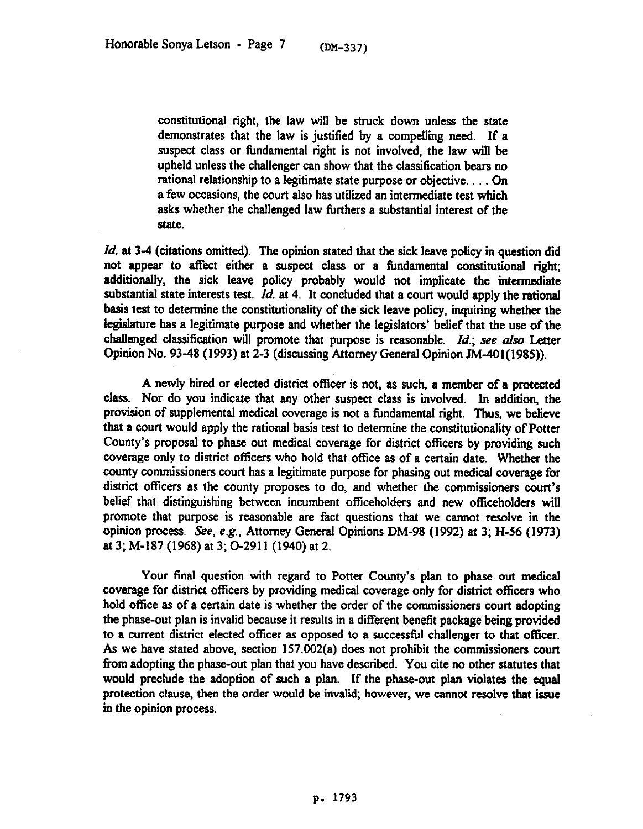constitutional right, the law will be struck down unless the state demonstrates that the law is justified by a compelling need. If a suspect class or fundamental right is not involved, the law will be upheld unless the challenger can show that the classification bears no rational relationship to a legitimate state purpose or objective. . . . On a few occasions, the court also has utilized an intermediate test which asks whether the challenged law furthers a substantial interest of the state.

*Id.* at 3-4 (citations omitted). The opinion stated that the sick leave policy in question did not appear to affect either a suspect class or a timdamental constitutional right; additionally, the sick leave policy probably would not implicate the intermediate substantial state interests test. *Id.* at 4. It concluded that a court would apply the rational basis test to determine the constitutionality of the sick leave policy, inquiring whether the legislature has a legitimate purpose and whether the legislators' belief that the use of the challenged classification will promote that purpose is reasonable.  $Id$ .; see also Letter Opinion No. 93-48 (1993) at 2-3 (discussing Attorney General Opinion JM-401(1985)).

A newly hired or elected district officer is not, as such, a member of a protected class. Nor do you indicate that any other suspect class is involved. In addition, the provision of supplemental medical coverage is not a fundamental right. Thus, we believe that a court would apply the rational basis test to determine the constitutionality of Potter County's proposal to phase out medical coverage for district officers by providing such coverage only to district officers who hold that ofice as of a certain date. Whether the county commissioners court has a legitimate purpose for phasing out medical coverage for district officers as the county proposes to do, and whether the commissioners court's belief that distinguishing between incumbent officeholders and new officeholders will promote that purpose is reasonable are fact questions that we cannot resolve in the opinion process. See, e.g., Attorney General Opinions DM-98 (1992) at 3; H-56 (1973) at 3; M-187 (1968) at 3; O-2911 (1940) at 2.

Your final question with regard to Potter County's plan to phase out medical coverage for district officers by providing medical coverage only for district officers who hold office as of a certain date is whether the order of the commissioners court adopting the phase-out plan is invalid because it results in a different benefit package being provided to a current district elected officer as opposed to a successful challenger to that officer. As we have stated above, section 157.002(a) does not prohibit the commissioners court from adopting the phase-out plan that you have described. You cite no other statutes that would preclude the adoption of such a plan. If the phase-out plan violates the equal protection clause, then the order would be invalid; however, we cannot resolve that issue in the opinion process.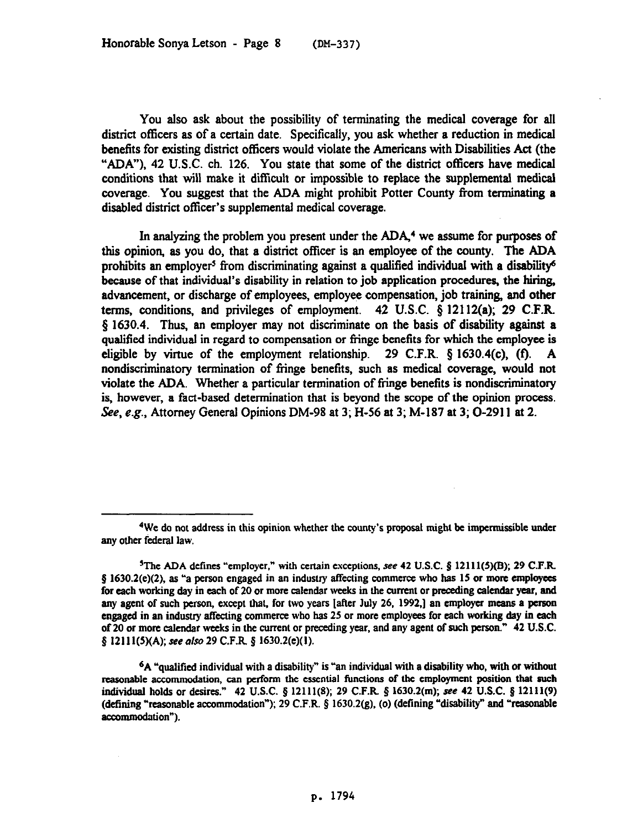You also ask about the possibility of terminating the medical coverage for all district officers as of a certain date. Specifically, you ask whether a reduction in medical benefits for existing district officers would violate the Americans with Disabilities Act (the "ADA"), 42 U.S.C. ch. 126. You state that some of the district officers have medical conditions that Will make it difficult or impossible to replace the supplemental medical coverage. You suggest that the ADA might prohibit Potter County from terminating a disabled district officer's supplemental medical coverage.

In analyzing the problem you present under the ADA,<sup>4</sup> we assume for purposes of this opinion, as you do, that a district officer is an employee of the county. The ADA prohibits an employer<sup>5</sup> from discriminating against a qualified individual with a disability<sup>6</sup> because of that individual's disability in relation to job application procedures, the hiring, advancement, or discharge of employees, employee compensation, job training, and other terms, conditions, and privileges of employment. 42 U.S.C. \$ 12112(a); 29 C.F.R. 3 1630.4. Thus, an employer may not discriminate on the basis of disability against a qualified individual in regard to compensation or fringe benefits for which the employee is eligible by virtue of the employment relationship. 29 C.F.R.  $\S$  1630.4(c), (f). A nondiscriminatory termination of fringe benefits, such as medical coverage, would not violate the ADA. Whether a particular termination of fringe benefits is nondiscriminatory is, however, a fact-based determination that is beyond the scope of the opinion process. See, e.g., Attorney General Opinions DM-98 at 3; H-56 at 3; M-187 at 3; O-2911 at 2.

<sup>&#</sup>x27;We do not address in this opinion whether the county's proposal might be impermtsstble under any other federal law.

<sup>&</sup>lt;sup>5</sup>The ADA defines "employer," with certain exceptions, see 42 U.S.C.  $\frac{8}{2}$  12111(5)(B); 29 C.F.R. § 1630.2(e)(2), as "a person engaged in an industry affecting commerce who has 15 or more employees for each working day in each of 20 or more calendar weeks in the current or preceding calendar year, and any agent of such person, except that, for two years [after July 26, 1992,] an employer means a person engaged in an industry affecting commerce who has 25 or more employees for each working day in each of 20 or more calendar weeks in the current or preceding year, and any agent of such person." 42 U.S.C. § 12111(5)(A); see also 29 C.F.R. § 1630.2(e)(1).

 $6A$  "qualified individual with a disability" is "an individual with a disability who, with or without reasonable accommodation, can perform the essential functions of the employment position that such individual holds or desires." 42 U.S.C. § 12111(8); 29 C.F.R. § 1630.2(m); see 42 U.S.C. § 12111(9) (defining "reasonable accommodation"); 29 C.F.R.  $\S$  1630.2(g), (o) (defining "disability" and "reasonable accommodation").